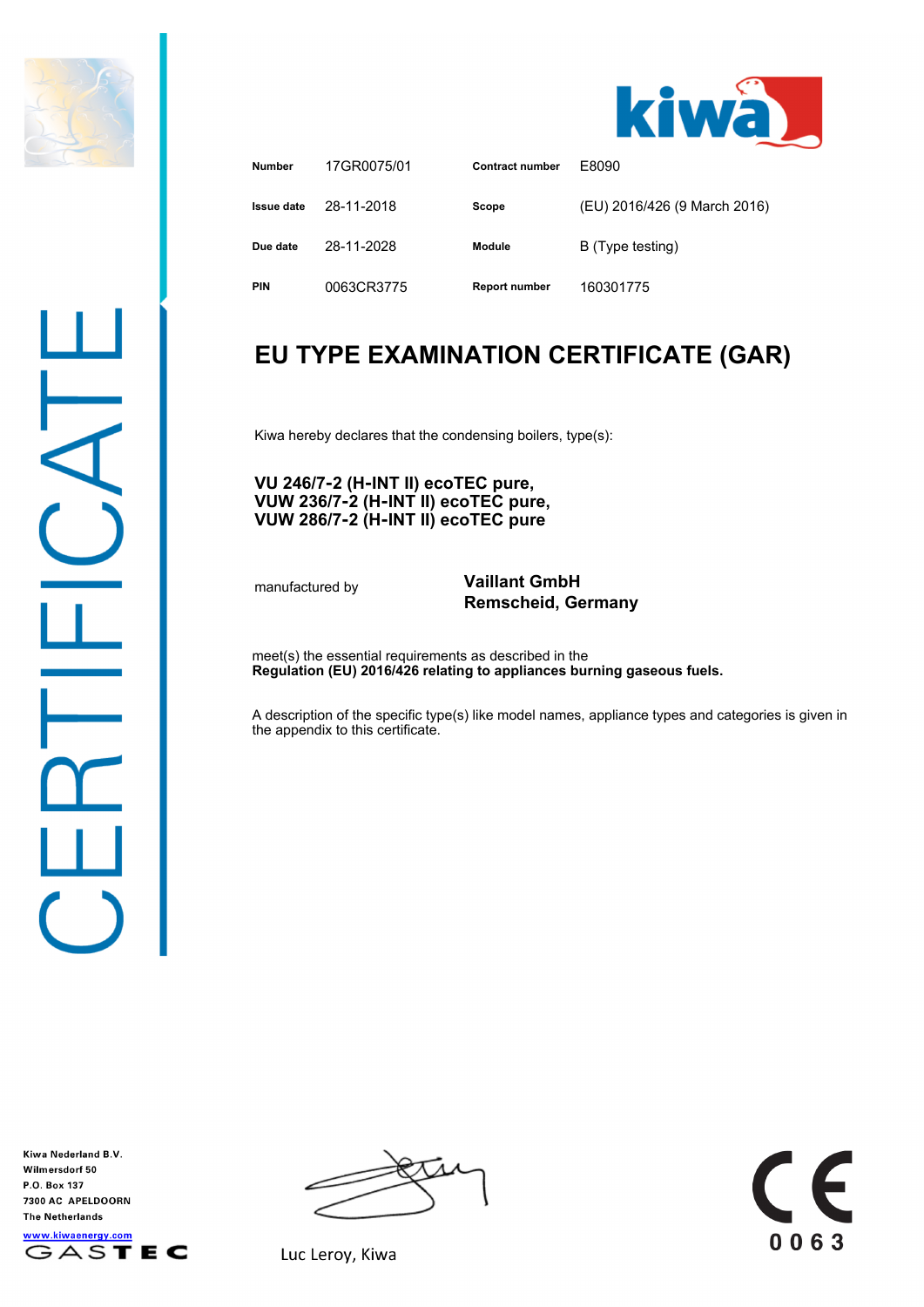



| <b>Number</b> | 17GR0075/01 | <b>Contract number</b> | F8090                        |
|---------------|-------------|------------------------|------------------------------|
| Issue date    | 28-11-2018  | Scope                  | (EU) 2016/426 (9 March 2016) |
| Due date      | 28-11-2028  | Module                 | B (Type testing)             |
| <b>PIN</b>    | 0063CR3775  | <b>Report number</b>   | 160301775                    |

## **EU TYPE EXAMINATION CERTIFICATE (GAR)**

Kiwa hereby declares that the condensing boilers, type(s):

## **VU 246/7‑2 (H‑INT II) ecoTEC pure, VUW 236/7‑2 (H‑INT II) ecoTEC pure, VUW 286/7‑2 (H‑INT II) ecoTEC pure**

## manufactured by **Vaillant GmbH Remscheid, Germany**

meet(s) the essential requirements as described in the **Regulation (EU) 2016/426 relating to appliances burning gaseous fuels.**

A description of the specific type(s) like model names, appliance types and categories is given in the appendix to this certificate.

Kiwa Nederland B.V. Wilmersdorf 50 P.O. Box 137 7300 AC APELDOORN **The Netherlands** www.kiwaenergy.com GASTEC



 $\epsilon$ 0063

Luc Leroy, Kiwa